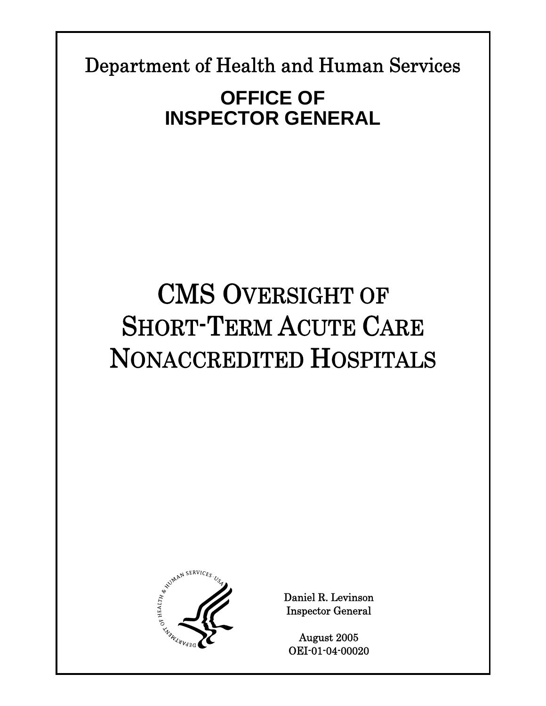Department of Health and Human Services

# **OFFICE OF INSPECTOR GENERAL**

# CMS OVERSIGHT OF SHORT-TERM ACUTE CARE NONACCREDITED HOSPITALS



Daniel R. Levinson Inspector General

August 2005 OEI-01-04-00020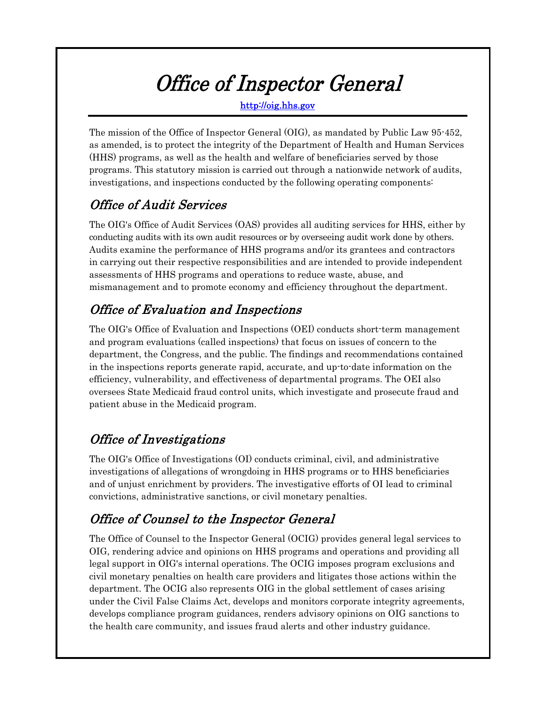# Office of Inspector General

http://oig.hhs.gov

The mission of the Office of Inspector General (OIG), as mandated by Public Law 95-452, as amended, is to protect the integrity of the Department of Health and Human Services (HHS) programs, as well as the health and welfare of beneficiaries served by those programs. This statutory mission is carried out through a nationwide network of audits, investigations, and inspections conducted by the following operating components:

# Office of Audit Services

The OIG's Office of Audit Services (OAS) provides all auditing services for HHS, either by conducting audits with its own audit resources or by overseeing audit work done by others. Audits examine the performance of HHS programs and/or its grantees and contractors in carrying out their respective responsibilities and are intended to provide independent assessments of HHS programs and operations to reduce waste, abuse, and mismanagement and to promote economy and efficiency throughout the department.

# Office of Evaluation and Inspections

The OIG's Office of Evaluation and Inspections (OEI) conducts short-term management and program evaluations (called inspections) that focus on issues of concern to the department, the Congress, and the public. The findings and recommendations contained in the inspections reports generate rapid, accurate, and up-to-date information on the efficiency, vulnerability, and effectiveness of departmental programs. The OEI also oversees State Medicaid fraud control units, which investigate and prosecute fraud and patient abuse in the Medicaid program.

# Office of Investigations

The OIG's Office of Investigations (OI) conducts criminal, civil, and administrative investigations of allegations of wrongdoing in HHS programs or to HHS beneficiaries and of unjust enrichment by providers. The investigative efforts of OI lead to criminal convictions, administrative sanctions, or civil monetary penalties.

# Office of Counsel to the Inspector General

The Office of Counsel to the Inspector General (OCIG) provides general legal services to OIG, rendering advice and opinions on HHS programs and operations and providing all legal support in OIG's internal operations. The OCIG imposes program exclusions and civil monetary penalties on health care providers and litigates those actions within the department. The OCIG also represents OIG in the global settlement of cases arising under the Civil False Claims Act, develops and monitors corporate integrity agreements, develops compliance program guidances, renders advisory opinions on OIG sanctions to the health care community, and issues fraud alerts and other industry guidance.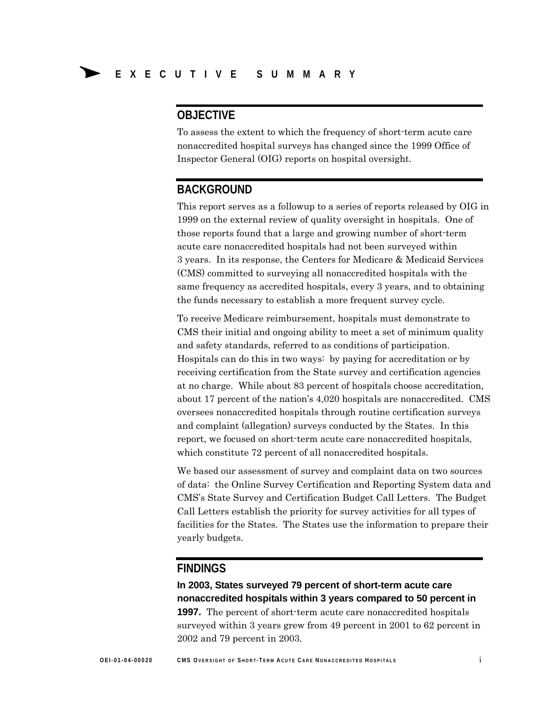# **OBJECTIVE**

To assess the extent to which the frequency of short-term acute care nonaccredited hospital surveys has changed since the 1999 Office of Inspector General (OIG) reports on hospital oversight.

# **BACKGROUND**

This report serves as a followup to a series of reports released by OIG in 1999 on the external review of quality oversight in hospitals. One of those reports found that a large and growing number of short-term acute care nonaccredited hospitals had not been surveyed within 3 years. In its response, the Centers for Medicare & Medicaid Services (CMS) committed to surveying all nonaccredited hospitals with the same frequency as accredited hospitals, every 3 years, and to obtaining the funds necessary to establish a more frequent survey cycle.

To receive Medicare reimbursement, hospitals must demonstrate to CMS their initial and ongoing ability to meet a set of minimum quality and safety standards, referred to as conditions of participation. Hospitals can do this in two ways: by paying for accreditation or by receiving certification from the State survey and certification agencies at no charge. While about 83 percent of hospitals choose accreditation, about 17 percent of the nation's 4,020 hospitals are nonaccredited. CMS oversees nonaccredited hospitals through routine certification surveys and complaint (allegation) surveys conducted by the States. In this report, we focused on short-term acute care nonaccredited hospitals, which constitute 72 percent of all nonaccredited hospitals.

We based our assessment of survey and complaint data on two sources of data: the Online Survey Certification and Reporting System data and CMS's State Survey and Certification Budget Call Letters. The Budget Call Letters establish the priority for survey activities for all types of facilities for the States. The States use the information to prepare their yearly budgets.

### **FINDINGS**

**In 2003, States surveyed 79 percent of short-term acute care nonaccredited hospitals within 3 years compared to 50 percent in 1997.** The percent of short-term acute care nonaccredited hospitals surveyed within 3 years grew from 49 percent in 2001 to 62 percent in 2002 and 79 percent in 2003.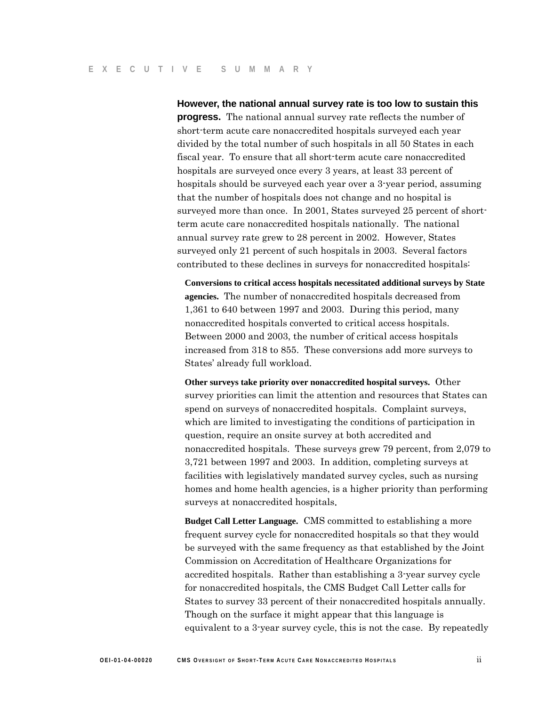**However, the national annual survey rate is too low to sustain this progress.** The national annual survey rate reflects the number of short-term acute care nonaccredited hospitals surveyed each year divided by the total number of such hospitals in all 50 States in each fiscal year. To ensure that all short-term acute care nonaccredited hospitals are surveyed once every 3 years, at least 33 percent of hospitals should be surveyed each year over a 3-year period, assuming that the number of hospitals does not change and no hospital is surveyed more than once. In 2001, States surveyed 25 percent of shortterm acute care nonaccredited hospitals nationally. The national annual survey rate grew to 28 percent in 2002. However, States surveyed only 21 percent of such hospitals in 2003. Several factors contributed to these declines in surveys for nonaccredited hospitals:

**Conversions to critical access hospitals necessitated additional surveys by State agencies.** The number of nonaccredited hospitals decreased from 1,361 to 640 between 1997 and 2003. During this period, many nonaccredited hospitals converted to critical access hospitals. Between 2000 and 2003, the number of critical access hospitals increased from 318 to 855. These conversions add more surveys to States' already full workload.

**Other surveys take priority over nonaccredited hospital surveys.** Other survey priorities can limit the attention and resources that States can spend on surveys of nonaccredited hospitals. Complaint surveys, which are limited to investigating the conditions of participation in question, require an onsite survey at both accredited and nonaccredited hospitals. These surveys grew 79 percent, from 2,079 to 3,721 between 1997 and 2003. In addition, completing surveys at facilities with legislatively mandated survey cycles, such as nursing homes and home health agencies, is a higher priority than performing surveys at nonaccredited hospitals.

**Budget Call Letter Language.** CMS committed to establishing a more frequent survey cycle for nonaccredited hospitals so that they would be surveyed with the same frequency as that established by the Joint Commission on Accreditation of Healthcare Organizations for accredited hospitals. Rather than establishing a 3-year survey cycle for nonaccredited hospitals, the CMS Budget Call Letter calls for States to survey 33 percent of their nonaccredited hospitals annually. Though on the surface it might appear that this language is equivalent to a 3-year survey cycle, this is not the case. By repeatedly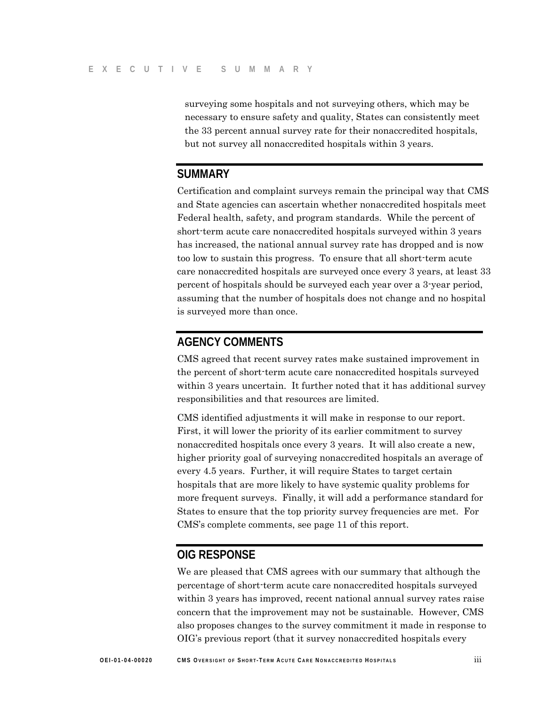surveying some hospitals and not surveying others, which may be necessary to ensure safety and quality, States can consistently meet the 33 percent annual survey rate for their nonaccredited hospitals, but not survey all nonaccredited hospitals within 3 years.

### **SUMMARY**

Certification and complaint surveys remain the principal way that CMS and State agencies can ascertain whether nonaccredited hospitals meet Federal health, safety, and program standards. While the percent of short-term acute care nonaccredited hospitals surveyed within 3 years has increased, the national annual survey rate has dropped and is now too low to sustain this progress. To ensure that all short-term acute care nonaccredited hospitals are surveyed once every 3 years, at least 33 percent of hospitals should be surveyed each year over a 3-year period, assuming that the number of hospitals does not change and no hospital is surveyed more than once.

# **AGENCY COMMENTS**

CMS agreed that recent survey rates make sustained improvement in the percent of short-term acute care nonaccredited hospitals surveyed within 3 years uncertain. It further noted that it has additional survey responsibilities and that resources are limited.

CMS identified adjustments it will make in response to our report. First, it will lower the priority of its earlier commitment to survey nonaccredited hospitals once every 3 years. It will also create a new, higher priority goal of surveying nonaccredited hospitals an average of every 4.5 years. Further, it will require States to target certain hospitals that are more likely to have systemic quality problems for more frequent surveys. Finally, it will add a performance standard for States to ensure that the top priority survey frequencies are met. For CMS's complete comments, see page 11 of this report.

### **OIG RESPONSE**

We are pleased that CMS agrees with our summary that although the percentage of short-term acute care nonaccredited hospitals surveyed within 3 years has improved, recent national annual survey rates raise concern that the improvement may not be sustainable. However, CMS also proposes changes to the survey commitment it made in response to OIG's previous report (that it survey nonaccredited hospitals every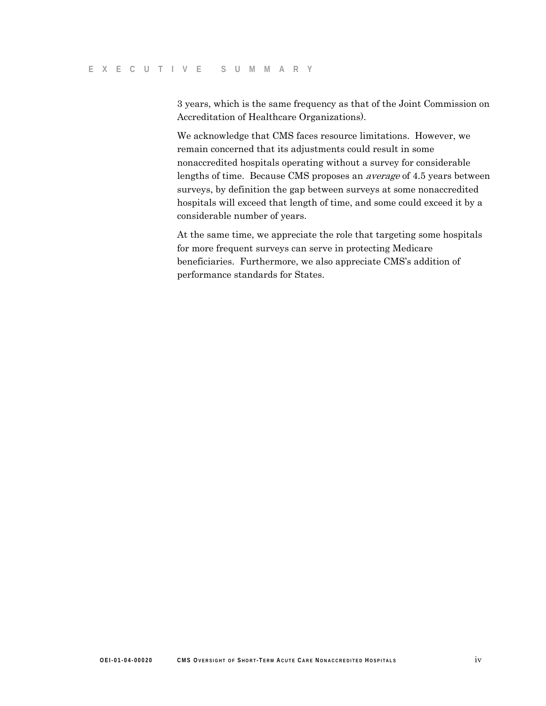3 years, which is the same frequency as that of the Joint Commission on Accreditation of Healthcare Organizations).

We acknowledge that CMS faces resource limitations. However, we remain concerned that its adjustments could result in some nonaccredited hospitals operating without a survey for considerable lengths of time. Because CMS proposes an average of 4.5 years between surveys, by definition the gap between surveys at some nonaccredited hospitals will exceed that length of time, and some could exceed it by a considerable number of years.

At the same time, we appreciate the role that targeting some hospitals for more frequent surveys can serve in protecting Medicare beneficiaries. Furthermore, we also appreciate CMS's addition of performance standards for States.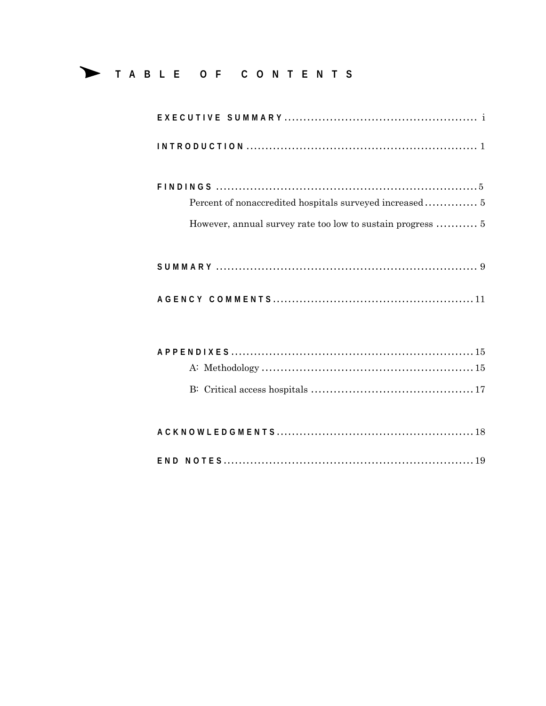# TABLE OF CONTENTS

| Percent of nonaccredited hospitals surveyed increased 5 |
|---------------------------------------------------------|
|                                                         |
|                                                         |
|                                                         |
|                                                         |
|                                                         |
|                                                         |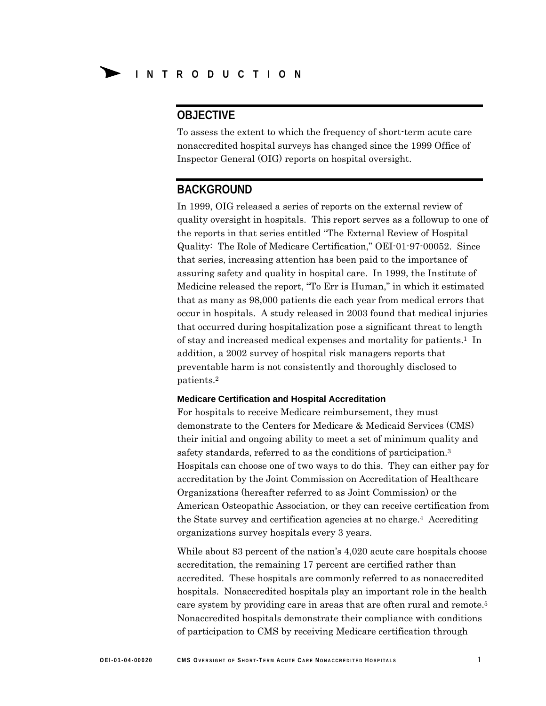# **OBJECTIVE**

To assess the extent to which the frequency of short-term acute care nonaccredited hospital surveys has changed since the 1999 Office of Inspector General (OIG) reports on hospital oversight.

# **BACKGROUND**

In 1999, OIG released a series of reports on the external review of quality oversight in hospitals. This report serves as a followup to one of the reports in that series entitled "The External Review of Hospital Quality: The Role of Medicare Certification," OEI-01-97-00052. Since that series, increasing attention has been paid to the importance of assuring safety and quality in hospital care. In 1999, the Institute of Medicine released the report, "To Err is Human," in which it estimated that as many as 98,000 patients die each year from medical errors that occur in hospitals. A study released in 2003 found that medical injuries that occurred during hospitalization pose a significant threat to length of stay and increased medical expenses and mortality for patients.1 In addition, a 2002 survey of hospital risk managers reports that preventable harm is not consistently and thoroughly disclosed to patients.2

#### **Medicare Certification and Hospital Accreditation**

For hospitals to receive Medicare reimbursement, they must demonstrate to the Centers for Medicare & Medicaid Services (CMS) their initial and ongoing ability to meet a set of minimum quality and safety standards, referred to as the conditions of participation.3 Hospitals can choose one of two ways to do this. They can either pay for accreditation by the Joint Commission on Accreditation of Healthcare Organizations (hereafter referred to as Joint Commission) or the American Osteopathic Association, or they can receive certification from the State survey and certification agencies at no charge.4 Accrediting organizations survey hospitals every 3 years.

While about 83 percent of the nation's 4,020 acute care hospitals choose accreditation, the remaining 17 percent are certified rather than accredited. These hospitals are commonly referred to as nonaccredited hospitals. Nonaccredited hospitals play an important role in the health care system by providing care in areas that are often rural and remote.5 Nonaccredited hospitals demonstrate their compliance with conditions of participation to CMS by receiving Medicare certification through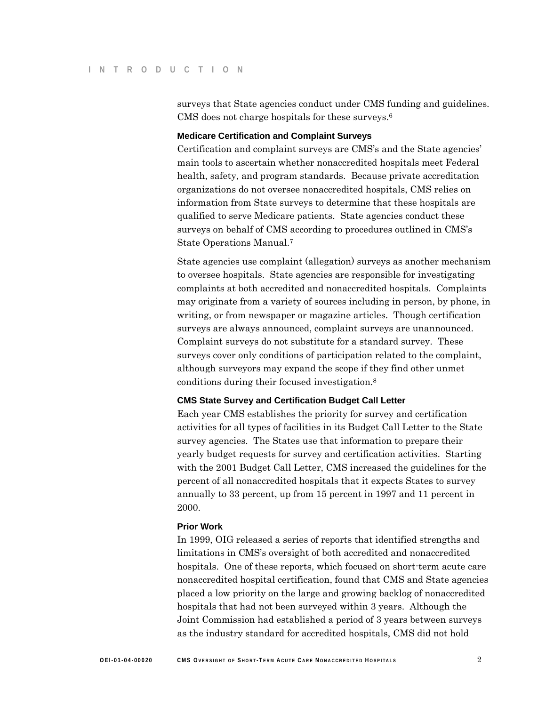surveys that State agencies conduct under CMS funding and guidelines. CMS does not charge hospitals for these surveys.<sup>6</sup>

#### **Medicare Certification and Complaint Surveys**

Certification and complaint surveys are CMS's and the State agencies' main tools to ascertain whether nonaccredited hospitals meet Federal health, safety, and program standards. Because private accreditation organizations do not oversee nonaccredited hospitals, CMS relies on information from State surveys to determine that these hospitals are qualified to serve Medicare patients. State agencies conduct these surveys on behalf of CMS according to procedures outlined in CMS's State Operations Manual.7

State agencies use complaint (allegation) surveys as another mechanism to oversee hospitals. State agencies are responsible for investigating complaints at both accredited and nonaccredited hospitals. Complaints may originate from a variety of sources including in person, by phone, in writing, or from newspaper or magazine articles. Though certification surveys are always announced, complaint surveys are unannounced. Complaint surveys do not substitute for a standard survey. These surveys cover only conditions of participation related to the complaint, although surveyors may expand the scope if they find other unmet conditions during their focused investigation.8

#### **CMS State Survey and Certification Budget Call Letter**

Each year CMS establishes the priority for survey and certification activities for all types of facilities in its Budget Call Letter to the State survey agencies. The States use that information to prepare their yearly budget requests for survey and certification activities. Starting with the 2001 Budget Call Letter, CMS increased the guidelines for the percent of all nonaccredited hospitals that it expects States to survey annually to 33 percent, up from 15 percent in 1997 and 11 percent in 2000.

#### **Prior Work**

In 1999, OIG released a series of reports that identified strengths and limitations in CMS's oversight of both accredited and nonaccredited hospitals. One of these reports, which focused on short-term acute care nonaccredited hospital certification, found that CMS and State agencies placed a low priority on the large and growing backlog of nonaccredited hospitals that had not been surveyed within 3 years. Although the Joint Commission had established a period of 3 years between surveys as the industry standard for accredited hospitals, CMS did not hold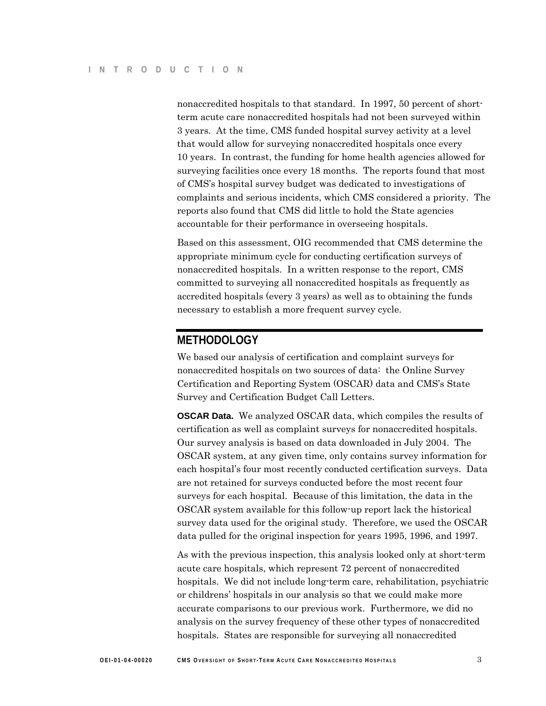nonaccredited hospitals to that standard. In 1997, 50 percent of shortterm acute care nonaccredited hospitals had not been surveyed within 3 years. At the time, CMS funded hospital survey activity at a level that would allow for surveying nonaccredited hospitals once every 10 years. In contrast, the funding for home health agencies allowed for surveying facilities once every 18 months. The reports found that most of CMS's hospital survey budget was dedicated to investigations of complaints and serious incidents, which CMS considered a priority. The reports also found that CMS did little to hold the State agencies accountable for their performance in overseeing hospitals.

Based on this assessment, OIG recommended that CMS determine the appropriate minimum cycle for conducting certification surveys of nonaccredited hospitals. In a written response to the report, CMS committed to surveying all nonaccredited hospitals as frequently as accredited hospitals (every 3 years) as well as to obtaining the funds necessary to establish a more frequent survey cycle.

# **METHODOLOGY**

We based our analysis of certification and complaint surveys for nonaccredited hospitals on two sources of data: the Online Survey Certification and Reporting System (OSCAR) data and CMS's State Survey and Certification Budget Call Letters.

**OSCAR Data.** We analyzed OSCAR data, which compiles the results of certification as well as complaint surveys for nonaccredited hospitals. Our survey analysis is based on data downloaded in July 2004. The OSCAR system, at any given time, only contains survey information for each hospital's four most recently conducted certification surveys. Data are not retained for surveys conducted before the most recent four surveys for each hospital. Because of this limitation, the data in the OSCAR system available for this follow-up report lack the historical survey data used for the original study. Therefore, we used the OSCAR data pulled for the original inspection for years 1995, 1996, and 1997.

As with the previous inspection, this analysis looked only at short-term acute care hospitals, which represent 72 percent of nonaccredited hospitals. We did not include long-term care, rehabilitation, psychiatric or childrens' hospitals in our analysis so that we could make more accurate comparisons to our previous work. Furthermore, we did no analysis on the survey frequency of these other types of nonaccredited hospitals. States are responsible for surveying all nonaccredited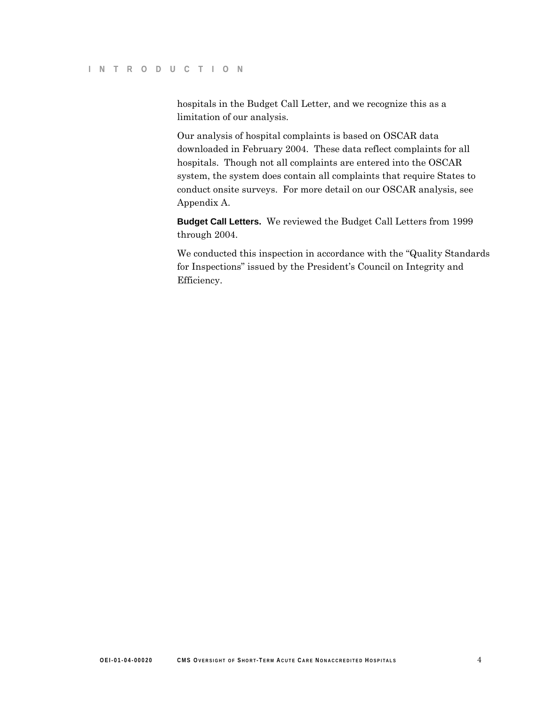hospitals in the Budget Call Letter, and we recognize this as a limitation of our analysis.

Our analysis of hospital complaints is based on OSCAR data downloaded in February 2004. These data reflect complaints for all hospitals. Though not all complaints are entered into the OSCAR system, the system does contain all complaints that require States to conduct onsite surveys. For more detail on our OSCAR analysis, see Appendix A.

**Budget Call Letters.** We reviewed the Budget Call Letters from 1999 through 2004.

We conducted this inspection in accordance with the "Quality Standards for Inspections" issued by the President's Council on Integrity and Efficiency.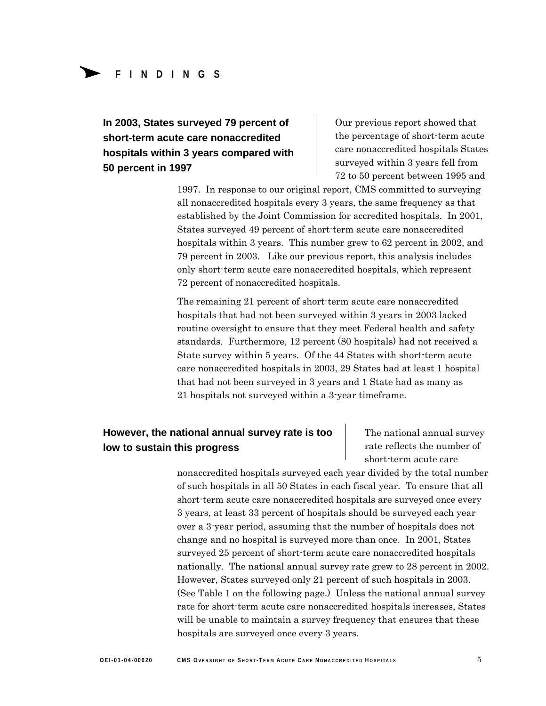# Δ**<sup>F</sup> <sup>I</sup> NDING <sup>S</sup> FINDINGS**

**In 2003, States surveyed 79 percent of short-term acute care nonaccredited hospitals within 3 years compared with 50 percent in 1997** 

Our previous report showed that the percentage of short-term acute care nonaccredited hospitals States surveyed within 3 years fell from 72 to 50 percent between 1995 and

1997. In response to our original report, CMS committed to surveying all nonaccredited hospitals every 3 years, the same frequency as that established by the Joint Commission for accredited hospitals. In 2001, States surveyed 49 percent of short-term acute care nonaccredited hospitals within 3 years. This number grew to 62 percent in 2002, and 79 percent in 2003. Like our previous report, this analysis includes only short-term acute care nonaccredited hospitals, which represent 72 percent of nonaccredited hospitals.

The remaining 21 percent of short-term acute care nonaccredited hospitals that had not been surveyed within 3 years in 2003 lacked routine oversight to ensure that they meet Federal health and safety standards. Furthermore, 12 percent (80 hospitals) had not received a State survey within 5 years. Of the 44 States with short-term acute care nonaccredited hospitals in 2003, 29 States had at least 1 hospital that had not been surveyed in 3 years and 1 State had as many as 21 hospitals not surveyed within a 3-year timeframe.

# **However, the national annual survey rate is too** The national annual survey **low to sustain this progress**

rate reflects the number of short-term acute care

nonaccredited hospitals surveyed each year divided by the total number of such hospitals in all 50 States in each fiscal year. To ensure that all short-term acute care nonaccredited hospitals are surveyed once every 3 years, at least 33 percent of hospitals should be surveyed each year over a 3-year period, assuming that the number of hospitals does not change and no hospital is surveyed more than once. In 2001, States surveyed 25 percent of short-term acute care nonaccredited hospitals nationally. The national annual survey rate grew to 28 percent in 2002. However, States surveyed only 21 percent of such hospitals in 2003. (See Table 1 on the following page.) Unless the national annual survey rate for short-term acute care nonaccredited hospitals increases, States will be unable to maintain a survey frequency that ensures that these hospitals are surveyed once every 3 years.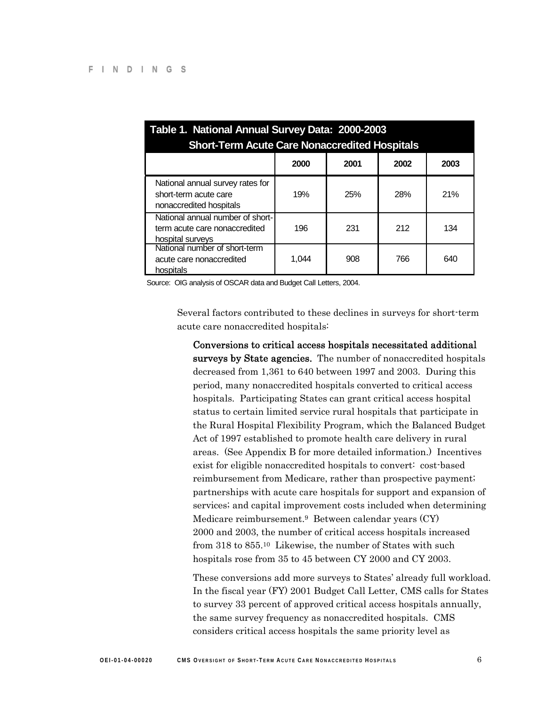| Table 1. National Annual Survey Data: 2000-2003<br><b>Short-Term Acute Care Nonaccredited Hospitals</b> |       |      |      |      |
|---------------------------------------------------------------------------------------------------------|-------|------|------|------|
|                                                                                                         | 2000  | 2001 | 2002 | 2003 |
| National annual survey rates for<br>short-term acute care<br>nonaccredited hospitals                    | 19%   | 25%  | 28%  | 21%  |
| National annual number of short-<br>term acute care nonaccredited<br>hospital surveys                   | 196   | 231  | 212  | 134  |
| National number of short-term<br>acute care nonaccredited<br>hospitals                                  | 1.044 | 908  | 766  | 640  |

Source: OIG analysis of OSCAR data and Budget Call Letters, 2004.

Several factors contributed to these declines in surveys for short-term acute care nonaccredited hospitals:

Conversions to critical access hospitals necessitated additional surveys by State agencies. The number of nonaccredited hospitals decreased from 1,361 to 640 between 1997 and 2003. During this period, many nonaccredited hospitals converted to critical access hospitals. Participating States can grant critical access hospital status to certain limited service rural hospitals that participate in the Rural Hospital Flexibility Program, which the Balanced Budget Act of 1997 established to promote health care delivery in rural areas. (See Appendix B for more detailed information.) Incentives exist for eligible nonaccredited hospitals to convert: cost-based reimbursement from Medicare, rather than prospective payment; partnerships with acute care hospitals for support and expansion of services; and capital improvement costs included when determining Medicare reimbursement.<sup>9</sup> Between calendar years (CY) 2000 and 2003, the number of critical access hospitals increased from 318 to 855.10 Likewise, the number of States with such hospitals rose from 35 to 45 between CY 2000 and CY 2003.

These conversions add more surveys to States' already full workload. In the fiscal year (FY) 2001 Budget Call Letter, CMS calls for States to survey 33 percent of approved critical access hospitals annually, the same survey frequency as nonaccredited hospitals. CMS considers critical access hospitals the same priority level as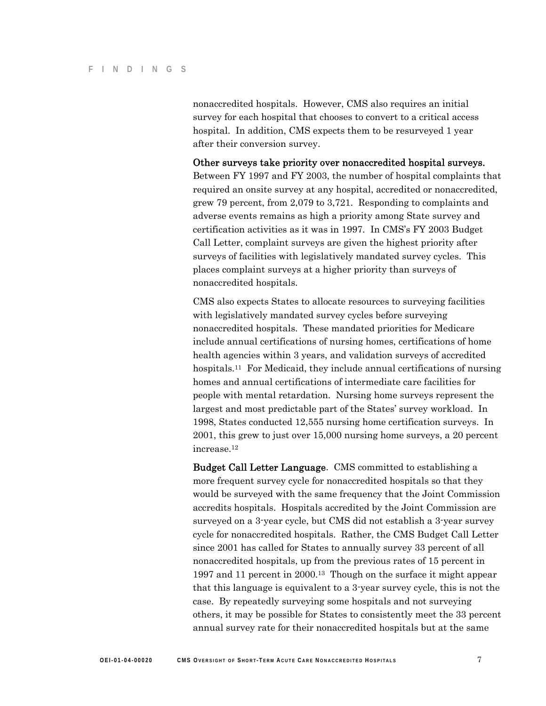nonaccredited hospitals. However, CMS also requires an initial survey for each hospital that chooses to convert to a critical access hospital. In addition, CMS expects them to be resurveyed 1 year after their conversion survey.

Other surveys take priority over nonaccredited hospital surveys. Between FY 1997 and FY 2003, the number of hospital complaints that required an onsite survey at any hospital, accredited or nonaccredited, grew 79 percent, from 2,079 to 3,721. Responding to complaints and adverse events remains as high a priority among State survey and certification activities as it was in 1997. In CMS's FY 2003 Budget Call Letter, complaint surveys are given the highest priority after surveys of facilities with legislatively mandated survey cycles. This places complaint surveys at a higher priority than surveys of nonaccredited hospitals.

CMS also expects States to allocate resources to surveying facilities with legislatively mandated survey cycles before surveying nonaccredited hospitals. These mandated priorities for Medicare include annual certifications of nursing homes, certifications of home health agencies within 3 years, and validation surveys of accredited hospitals.11 For Medicaid, they include annual certifications of nursing homes and annual certifications of intermediate care facilities for people with mental retardation. Nursing home surveys represent the largest and most predictable part of the States' survey workload. In 1998, States conducted 12,555 nursing home certification surveys. In 2001, this grew to just over 15,000 nursing home surveys, a 20 percent increase.12

Budget Call Letter Language. CMS committed to establishing a more frequent survey cycle for nonaccredited hospitals so that they would be surveyed with the same frequency that the Joint Commission accredits hospitals. Hospitals accredited by the Joint Commission are surveyed on a 3-year cycle, but CMS did not establish a 3-year survey cycle for nonaccredited hospitals. Rather, the CMS Budget Call Letter since 2001 has called for States to annually survey 33 percent of all nonaccredited hospitals, up from the previous rates of 15 percent in 1997 and 11 percent in 2000.13 Though on the surface it might appear that this language is equivalent to a 3-year survey cycle, this is not the case. By repeatedly surveying some hospitals and not surveying others, it may be possible for States to consistently meet the 33 percent annual survey rate for their nonaccredited hospitals but at the same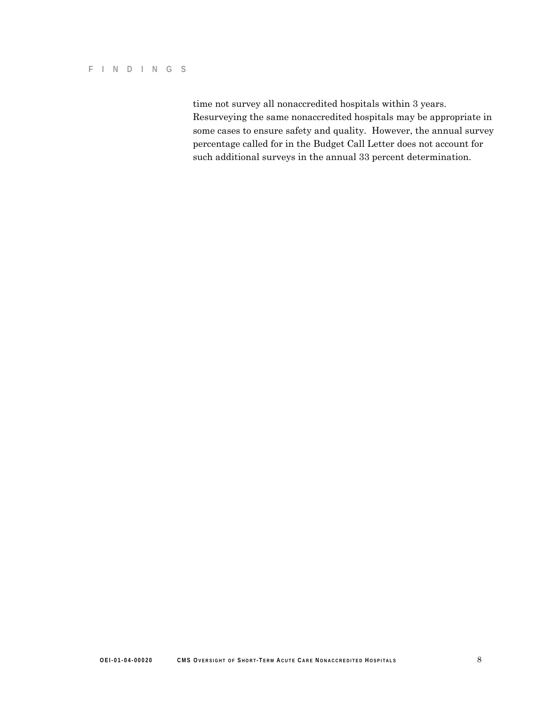#### **F I NDING S**

time not survey all nonaccredited hospitals within 3 years. Resurveying the same nonaccredited hospitals may be appropriate in some cases to ensure safety and quality. However, the annual survey percentage called for in the Budget Call Letter does not account for such additional surveys in the annual 33 percent determination.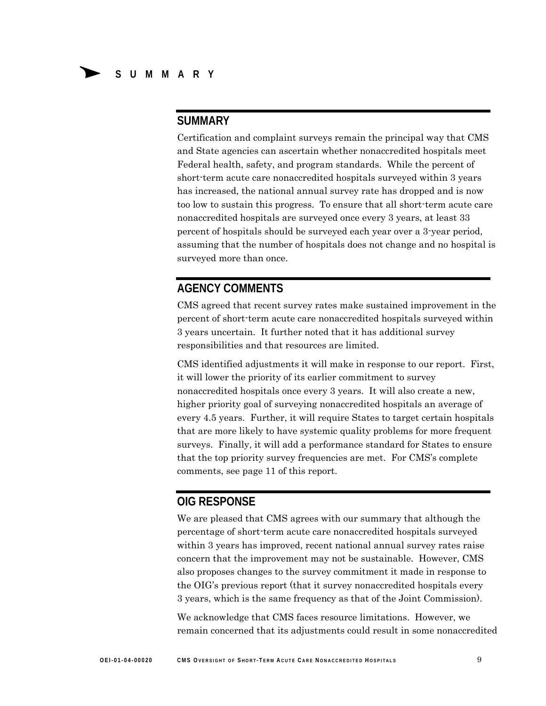### **SUMMARY**

Certification and complaint surveys remain the principal way that CMS and State agencies can ascertain whether nonaccredited hospitals meet Federal health, safety, and program standards. While the percent of short-term acute care nonaccredited hospitals surveyed within 3 years has increased, the national annual survey rate has dropped and is now too low to sustain this progress. To ensure that all short-term acute care nonaccredited hospitals are surveyed once every 3 years, at least 33 percent of hospitals should be surveyed each year over a 3-year period, assuming that the number of hospitals does not change and no hospital is surveyed more than once.

## **AGENCY COMMENTS**

CMS agreed that recent survey rates make sustained improvement in the percent of short-term acute care nonaccredited hospitals surveyed within 3 years uncertain. It further noted that it has additional survey responsibilities and that resources are limited.

CMS identified adjustments it will make in response to our report. First, it will lower the priority of its earlier commitment to survey nonaccredited hospitals once every 3 years. It will also create a new, higher priority goal of surveying nonaccredited hospitals an average of every 4.5 years. Further, it will require States to target certain hospitals that are more likely to have systemic quality problems for more frequent surveys. Finally, it will add a performance standard for States to ensure that the top priority survey frequencies are met. For CMS's complete comments, see page 11 of this report.

# **OIG RESPONSE**

We are pleased that CMS agrees with our summary that although the percentage of short-term acute care nonaccredited hospitals surveyed within 3 years has improved, recent national annual survey rates raise concern that the improvement may not be sustainable. However, CMS also proposes changes to the survey commitment it made in response to the OIG's previous report (that it survey nonaccredited hospitals every 3 years, which is the same frequency as that of the Joint Commission).

We acknowledge that CMS faces resource limitations. However, we remain concerned that its adjustments could result in some nonaccredited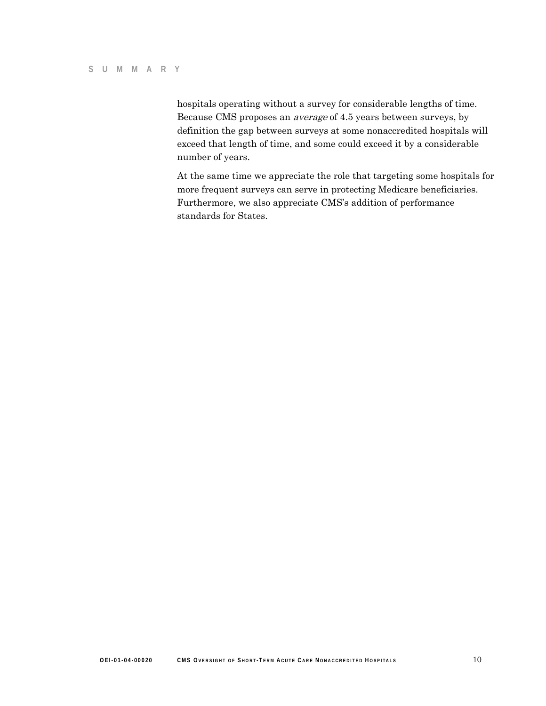hospitals operating without a survey for considerable lengths of time. Because CMS proposes an average of 4.5 years between surveys, by definition the gap between surveys at some nonaccredited hospitals will exceed that length of time, and some could exceed it by a considerable number of years.

At the same time we appreciate the role that targeting some hospitals for more frequent surveys can serve in protecting Medicare beneficiaries. Furthermore, we also appreciate CMS's addition of performance standards for States.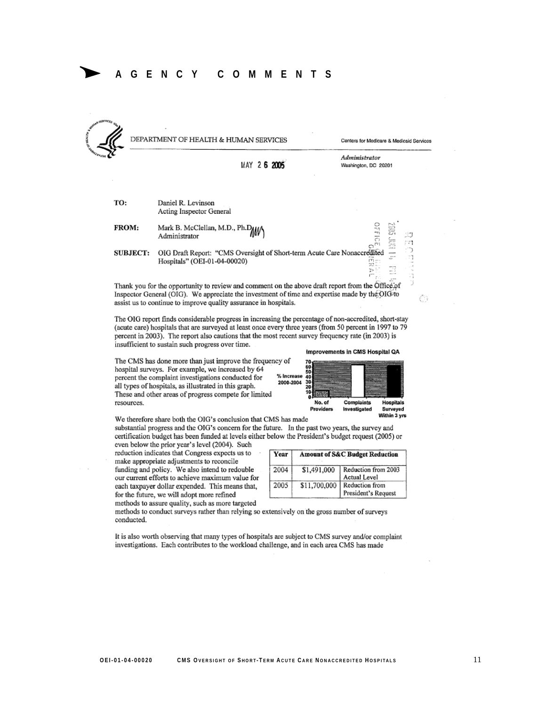

DEPARTMENT OF HEALTH & HUMAN SERVICES

Centers for Medicare & Medicaid Services

63

|  | AY 26 2005 |
|--|------------|
|  |            |
|  |            |
|  |            |

Administrator Washington, DC 20201

TO: Daniel R. Levinson Acting Inspector General

Mark B. McClellan, M.D., Ph.DAM FROM: Administrator

OIG Draft Report: "CMS Oversight of Short-term Acute Care Nonaccredited **SUBJECT:** Hospitals" (OEI-01-04-00020)

Thank you for the opportunity to review and comment on the above draft report from the Office of Inspector General (OIG). We appreciate the investment of time and expertise made by the OIG to assist us to continue to improve quality assurance in hospitals.

The OIG report finds considerable progress in increasing the percentage of non-accredited, short-stay (acute care) hospitals that are surveyed at least once every three years (from 50 percent in 1997 to 79 percent in 2003). The report also cautions that the most recent survey frequency rate (in 2003) is insufficient to sustain such progress over time. Improvements in CMS Hospital QA

The CMS has done more than just improve the frequency of hospital surveys. For example, we increased by 64 percent the complaint investigations conducted for % Increas 2000-2004 all types of hospitals, as illustrated in this graph. These and other areas of progress compete for limited resources.

|   | No. of | Complaints | Hospitals |
|---|--------|------------|-----------|
| P |        |            |           |
|   | 70     |            |           |
|   |        |            |           |

Within 3 vrs

We therefore share both the OIG's conclusion that CMS has made substantial progress and the OIG's concern for the future. In the past two years, the survey and

certification budget has been funded at levels either below the President's budget request (2005) or even below the prior year's level (2004). Such

reduction indicates that Congress expects us to make appropriate adjustments to reconcile funding and policy. We also intend to redouble our current efforts to achieve maximum value for each taxpayer dollar expended. This means that, for the future, we will adopt more refined methods to assure quality, such as more targeted

| Year | <b>Amount of S&amp;C Budget Reduction</b> |                                       |  |  |
|------|-------------------------------------------|---------------------------------------|--|--|
| 2004 | \$1,491,000                               | Reduction from 2003<br>Actual Level   |  |  |
| 2005 | \$11,700,000                              | Reduction from<br>President's Request |  |  |

methods to conduct surveys rather than relying so extensively on the gross number of surveys conducted.

It is also worth observing that many types of hospitals are subject to CMS survey and/or complaint investigations. Each contributes to the workload challenge, and in each area CMS has made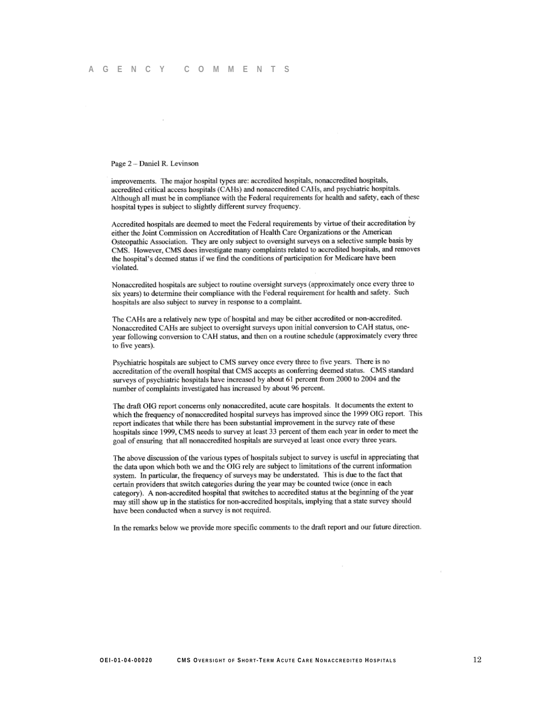#### Page 2 - Daniel R. Levinson

improvements. The major hospital types are: accredited hospitals, nonaccredited hospitals, accredited critical access hospitals (CAHs) and nonaccredited CAHs, and psychiatric hospitals. Although all must be in compliance with the Federal requirements for health and safety, each of these hospital types is subject to slightly different survey frequency.

Accredited hospitals are deemed to meet the Federal requirements by virtue of their accreditation by either the Joint Commission on Accreditation of Health Care Organizations or the American Osteopathic Association. They are only subject to oversight surveys on a selective sample basis by CMS. However, CMS does investigate many complaints related to accredited hospitals, and removes the hospital's deemed status if we find the conditions of participation for Medicare have been violated.

Nonaccredited hospitals are subject to routine oversight surveys (approximately once every three to six years) to determine their compliance with the Federal requirement for health and safety. Such hospitals are also subject to survey in response to a complaint.

The CAHs are a relatively new type of hospital and may be either accredited or non-accredited. Nonaccredited CAHs are subject to oversight surveys upon initial conversion to CAH status, oneyear following conversion to CAH status, and then on a routine schedule (approximately every three to five years).

Psychiatric hospitals are subject to CMS survey once every three to five years. There is no accreditation of the overall hospital that CMS accepts as conferring deemed status. CMS standard surveys of psychiatric hospitals have increased by about 61 percent from 2000 to 2004 and the number of complaints investigated has increased by about 96 percent.

The draft OIG report concerns only nonaccredited, acute care hospitals. It documents the extent to which the frequency of nonaccredited hospital surveys has improved since the 1999 OIG report. This report indicates that while there has been substantial improvement in the survey rate of these hospitals since 1999, CMS needs to survey at least 33 percent of them each year in order to meet the goal of ensuring that all nonaccredited hospitals are surveyed at least once every three years.

The above discussion of the various types of hospitals subject to survey is useful in appreciating that the data upon which both we and the OIG rely are subject to limitations of the current information system. In particular, the frequency of surveys may be understated. This is due to the fact that certain providers that switch categories during the year may be counted twice (once in each category). A non-accredited hospital that switches to accredited status at the beginning of the year may still show up in the statistics for non-accredited hospitals, implying that a state survey should have been conducted when a survey is not required.

In the remarks below we provide more specific comments to the draft report and our future direction.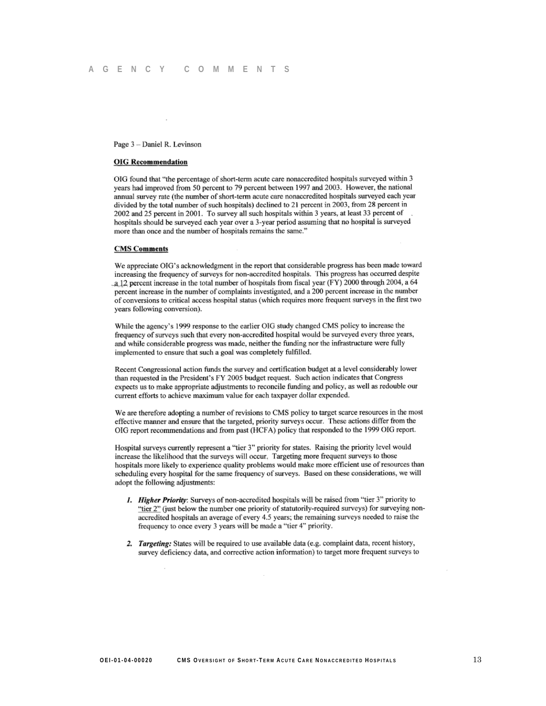#### Page 3 - Daniel R. Levinson

#### **OIG Recommendation**

OIG found that "the percentage of short-term acute care nonaccredited hospitals surveyed within 3 years had improved from 50 percent to 79 percent between 1997 and 2003. However, the national annual survey rate (the number of short-term acute care nonaccredited hospitals surveyed each year divided by the total number of such hospitals) declined to 21 percent in 2003, from 28 percent in 2002 and 25 percent in 2001. To survey all such hospitals within 3 years, at least 33 percent of hospitals should be surveyed each year over a 3-year period assuming that no hospital is surveyed more than once and the number of hospitals remains the same."

#### **CMS** Comments

We appreciate OIG's acknowledgment in the report that considerable progress has been made toward increasing the frequency of surveys for non-accredited hospitals. This progress has occurred despite a 12 percent increase in the total number of hospitals from fiscal year (FY) 2000 through 2004, a 64 percent increase in the number of complaints investigated, and a 200 percent increase in the number of conversions to critical access hospital status (which requires more frequent surveys in the first two years following conversion).

While the agency's 1999 response to the earlier OIG study changed CMS policy to increase the frequency of surveys such that every non-accredited hospital would be surveyed every three years, and while considerable progress was made, neither the funding nor the infrastructure were fully implemented to ensure that such a goal was completely fulfilled.

Recent Congressional action funds the survey and certification budget at a level considerably lower than requested in the President's FY 2005 budget request. Such action indicates that Congress expects us to make appropriate adjustments to reconcile funding and policy, as well as redouble our current efforts to achieve maximum value for each taxpayer dollar expended.

We are therefore adopting a number of revisions to CMS policy to target scarce resources in the most effective manner and ensure that the targeted, priority surveys occur. These actions differ from the OIG report recommendations and from past (HCFA) policy that responded to the 1999 OIG report.

Hospital surveys currently represent a "tier 3" priority for states. Raising the priority level would increase the likelihood that the surveys will occur. Targeting more frequent surveys to those hospitals more likely to experience quality problems would make more efficient use of resources than scheduling every hospital for the same frequency of surveys. Based on these considerations, we will adopt the following adjustments:

- 1. Higher Priority: Surveys of non-accredited hospitals will be raised from "tier 3" priority to "tier 2" (just below the number one priority of statutorily-required surveys) for surveying nonaccredited hospitals an average of every 4.5 years; the remaining surveys needed to raise the frequency to once every 3 years will be made a "tier 4" priority.
- 2. Targeting: States will be required to use available data (e.g. complaint data, recent history, survey deficiency data, and corrective action information) to target more frequent surveys to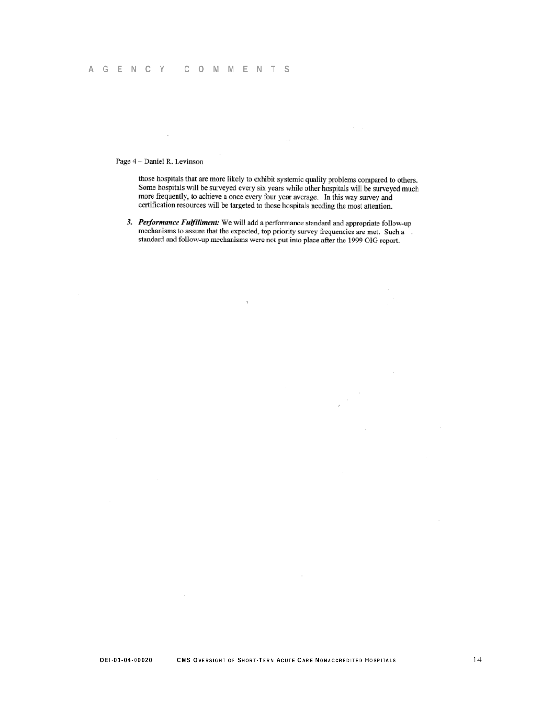Page 4 - Daniel R. Levinson

those hospitals that are more likely to exhibit systemic quality problems compared to others. Some hospitals will be surveyed every six years while other hospitals will be surveyed much more frequently, to achieve a once every four year average. In this way survey and certification resources will be targeted to those hospitals needing the most attention.

3. Performance Fulfillment: We will add a performance standard and appropriate follow-up mechanisms to assure that the expected, top priority survey frequencies are met. Such a standard and follow-up mechanisms were not put into place after the 1999 OIG report.

 $\overline{1}$ 

 $\sim$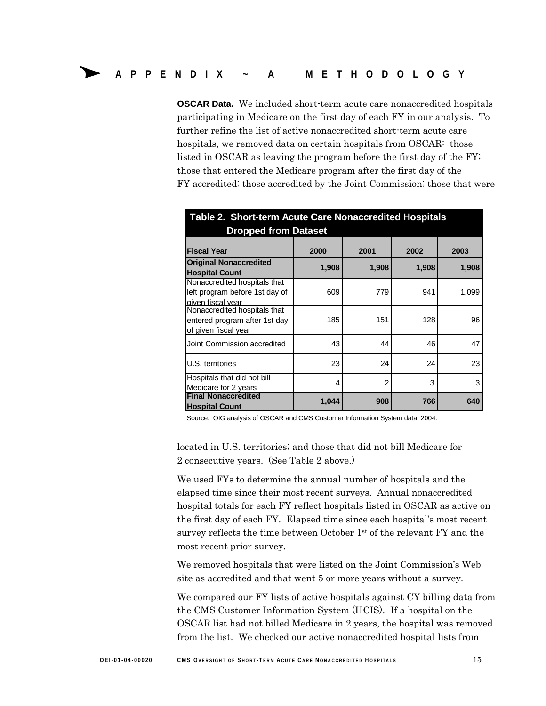**OSCAR Data.** We included short-term acute care nonaccredited hospitals participating in Medicare on the first day of each FY in our analysis. To further refine the list of active nonaccredited short-term acute care hospitals, we removed data on certain hospitals from OSCAR: those listed in OSCAR as leaving the program before the first day of the FY; those that entered the Medicare program after the first day of the FY accredited; those accredited by the Joint Commission; those that were

| Table 2. Short-term Acute Care Nonaccredited Hospitals                                |       |               |       |       |
|---------------------------------------------------------------------------------------|-------|---------------|-------|-------|
| <b>Dropped from Dataset</b>                                                           |       |               |       |       |
| <b>Fiscal Year</b>                                                                    | 2000  | 2001          | 2002  | 2003  |
| <b>Original Nonaccredited</b><br><b>Hospital Count</b>                                | 1,908 | 1,908         | 1,908 | 1,908 |
| Nonaccredited hospitals that<br>left program before 1st day of<br>given fiscal year   | 609   | 779           | 941   | 1,099 |
| Nonaccredited hospitals that<br>entered program after 1st day<br>of given fiscal year | 185   | 151           | 128   | 96    |
| Joint Commission accredited                                                           | 43    | 44            | 46    | 47    |
| U.S. territories                                                                      | 23    | 24            | 24    | 23    |
| Hospitals that did not bill<br>Medicare for 2 years                                   | 4     | $\mathcal{P}$ | 3     | 3     |
| <b>Final Nonaccredited</b><br><b>Hospital Count</b>                                   | 1,044 | 908           | 766   | 640   |

Source: OIG analysis of OSCAR and CMS Customer Information System data, 2004.

located in U.S. territories; and those that did not bill Medicare for 2 consecutive years. (See Table 2 above.)

We used FYs to determine the annual number of hospitals and the elapsed time since their most recent surveys. Annual nonaccredited hospital totals for each FY reflect hospitals listed in OSCAR as active on the first day of each FY. Elapsed time since each hospital's most recent survey reflects the time between October 1st of the relevant FY and the most recent prior survey.

We removed hospitals that were listed on the Joint Commission's Web site as accredited and that went 5 or more years without a survey.

We compared our FY lists of active hospitals against CY billing data from the CMS Customer Information System (HCIS). If a hospital on the OSCAR list had not billed Medicare in 2 years, the hospital was removed from the list. We checked our active nonaccredited hospital lists from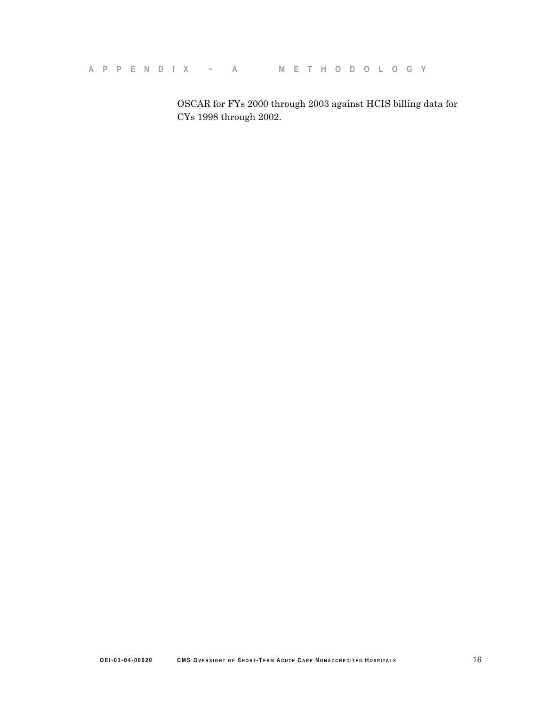**A P PEND IX ~ A M E THO D OLOG Y** 

OSCAR for FYs 2000 through 2003 against HCIS billing data for CYs 1998 through 2002.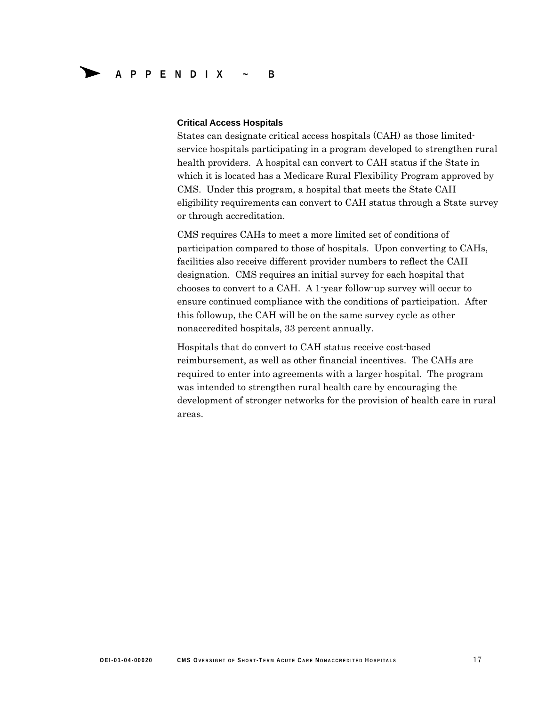#### **Critical Access Hospitals**

States can designate critical access hospitals (CAH) as those limitedservice hospitals participating in a program developed to strengthen rural health providers. A hospital can convert to CAH status if the State in which it is located has a Medicare Rural Flexibility Program approved by CMS. Under this program, a hospital that meets the State CAH eligibility requirements can convert to CAH status through a State survey or through accreditation.

CMS requires CAHs to meet a more limited set of conditions of participation compared to those of hospitals. Upon converting to CAHs, facilities also receive different provider numbers to reflect the CAH designation. CMS requires an initial survey for each hospital that chooses to convert to a CAH. A 1-year follow-up survey will occur to ensure continued compliance with the conditions of participation. After this followup, the CAH will be on the same survey cycle as other nonaccredited hospitals, 33 percent annually.

Hospitals that do convert to CAH status receive cost-based reimbursement, as well as other financial incentives. The CAHs are required to enter into agreements with a larger hospital. The program was intended to strengthen rural health care by encouraging the development of stronger networks for the provision of health care in rural areas.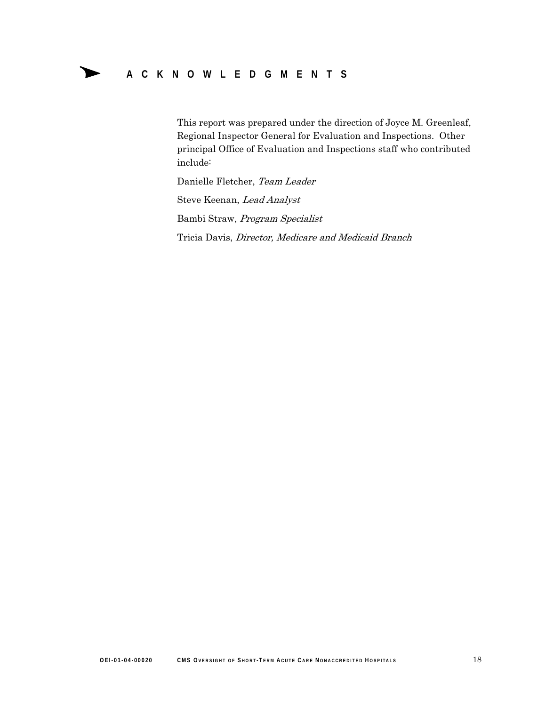# Δ **ACKNOWLEDGME <sup>N</sup> TS**

This report was prepared under the direction of Joyce M. Greenleaf, Regional Inspector General for Evaluation and Inspections. Other principal Office of Evaluation and Inspections staff who contributed include:

Danielle Fletcher, Team Leader

Steve Keenan, Lead Analyst Bambi Straw, Program Specialist

Tricia Davis, Director, Medicare and Medicaid Branch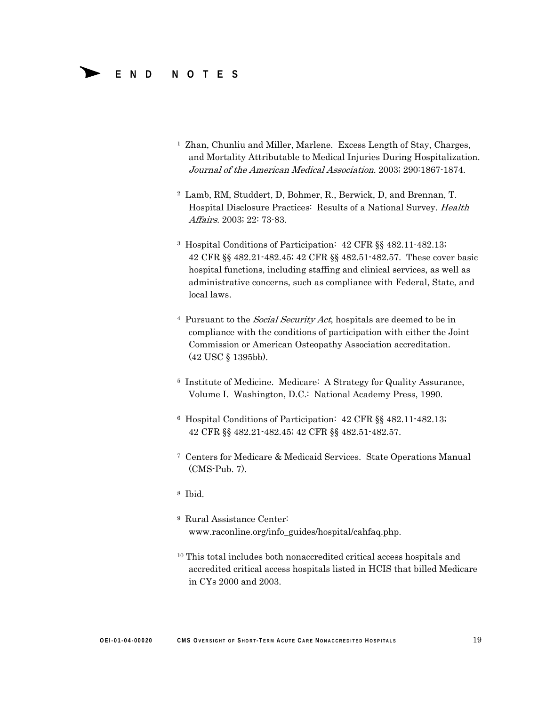### Δ **END NOTES**

- <sup>1</sup> Zhan, Chunliu and Miller, Marlene. Excess Length of Stay, Charges, and Mortality Attributable to Medical Injuries During Hospitalization. Journal of the American Medical Association. 2003; 290:1867-1874.
- 2 Lamb, RM, Studdert, D, Bohmer, R., Berwick, D, and Brennan, T. Hospital Disclosure Practices: Results of a National Survey. Health Affairs. 2003; 22: 73-83.
- 3 Hospital Conditions of Participation: 42 CFR §§ 482.11-482.13; 42 CFR §§ 482.21-482.45; 42 CFR §§ 482.51-482.57. These cover basic hospital functions, including staffing and clinical services, as well as administrative concerns, such as compliance with Federal, State, and local laws.
- <sup>4</sup> Pursuant to the *Social Security Act*, hospitals are deemed to be in compliance with the conditions of participation with either the Joint Commission or American Osteopathy Association accreditation. (42 USC § 1395bb).
- 5 Institute of Medicine. Medicare: A Strategy for Quality Assurance, Volume I. Washington, D.C.: National Academy Press, 1990.
- 6 Hospital Conditions of Participation: 42 CFR §§ 482.11-482.13; 42 CFR §§ 482.21-482.45; 42 CFR §§ 482.51-482.57.
- 7 Centers for Medicare & Medicaid Services. State Operations Manual (CMS-Pub. 7).
- 8 Ibid.
- 9 Rural Assistance Center: www.raconline.org/info\_guides/hospital/cahfaq.php.
- 10 This total includes both nonaccredited critical access hospitals and accredited critical access hospitals listed in HCIS that billed Medicare in CYs 2000 and 2003.